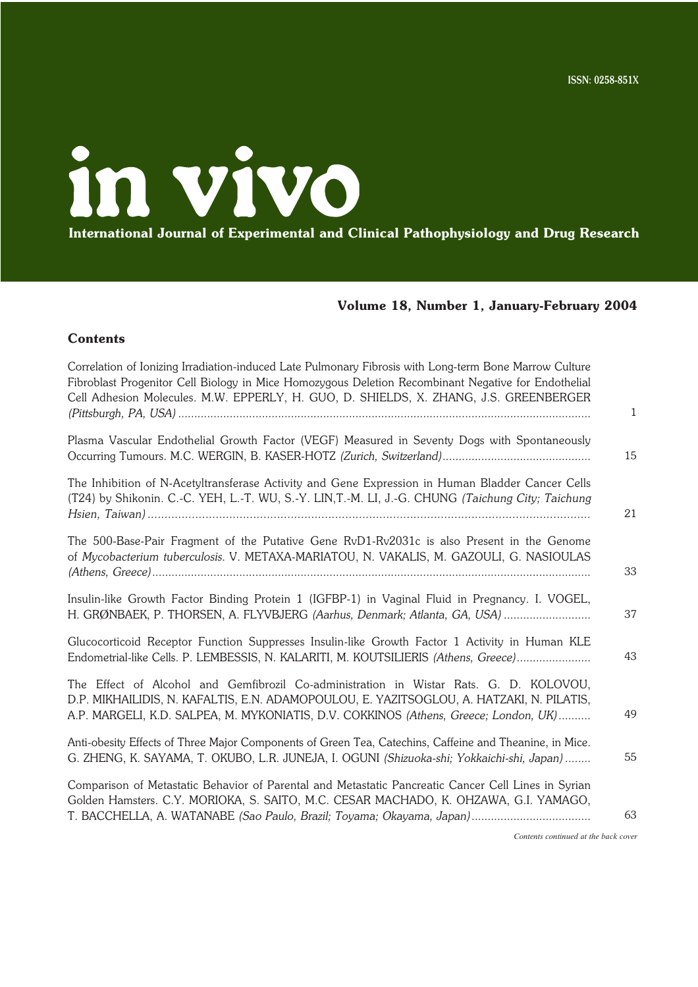## in vivo **International Journal of Experimental and Clinical Pathophysiology and Drug Research**

## **Volume 18, Number 1, January-February 2004**

## **Contents**

| Correlation of Ionizing Irradiation-induced Late Pulmonary Fibrosis with Long-term Bone Marrow Culture<br>Fibroblast Progenitor Cell Biology in Mice Homozygous Deletion Recombinant Negative for Endothelial<br>Cell Adhesion Molecules. M.W. EPPERLY, H. GUO, D. SHIELDS, X. ZHANG, J.S. GREENBERGER | 1  |
|--------------------------------------------------------------------------------------------------------------------------------------------------------------------------------------------------------------------------------------------------------------------------------------------------------|----|
| Plasma Vascular Endothelial Growth Factor (VEGF) Measured in Seventy Dogs with Spontaneously                                                                                                                                                                                                           | 15 |
| The Inhibition of N-Acetyltransferase Activity and Gene Expression in Human Bladder Cancer Cells<br>(T24) by Shikonin. C.-C. YEH, L.-T. WU, S.-Y. LIN,T.-M. LI, J.-G. CHUNG (Taichung City; Taichung                                                                                                   | 21 |
| The 500-Base-Pair Fragment of the Putative Gene RvD1-Rv2031c is also Present in the Genome<br>of Mycobacterium tuberculosis. V. METAXA-MARIATOU, N. VAKALIS, M. GAZOULI, G. NASIOULAS                                                                                                                  | 33 |
| Insulin-like Growth Factor Binding Protein 1 (IGFBP-1) in Vaginal Fluid in Pregnancy. I. VOGEL,<br>H. GRØNBAEK, P. THORSEN, A. FLYVBJERG (Aarhus, Denmark; Atlanta, GA, USA)                                                                                                                           | 37 |
| Glucocorticoid Receptor Function Suppresses Insulin-like Growth Factor 1 Activity in Human KLE<br>Endometrial-like Cells. P. LEMBESSIS, N. KALARITI, M. KOUTSILIERIS (Athens, Greece)                                                                                                                  | 43 |
| The Effect of Alcohol and Gemfibrozil Co-administration in Wistar Rats. G. D. KOLOVOU,<br>D.P. MIKHAILIDIS, N. KAFALTIS, E.N. ADAMOPOULOU, E. YAZITSOGLOU, A. HATZAKI, N. PILATIS,<br>A.P. MARGELI, K.D. SALPEA, M. MYKONIATIS, D.V. COKKINOS (Athens, Greece; London, UK)                             | 49 |
| Anti-obesity Effects of Three Major Components of Green Tea, Catechins, Caffeine and Theanine, in Mice.<br>G. ZHENG, K. SAYAMA, T. OKUBO, L.R. JUNEJA, I. OGUNI (Shizuoka-shi; Yokkaichi-shi, Japan)                                                                                                   | 55 |
| Comparison of Metastatic Behavior of Parental and Metastatic Pancreatic Cancer Cell Lines in Syrian<br>Golden Hamsters. C.Y. MORIOKA, S. SAITO, M.C. CESAR MACHADO, K. OHZAWA, G.I. YAMAGO,<br>$\alpha$ . The continues of the state of $\alpha$ and $\alpha$ is the state of $\alpha$                 | 63 |

*Contents continued at the back cover*